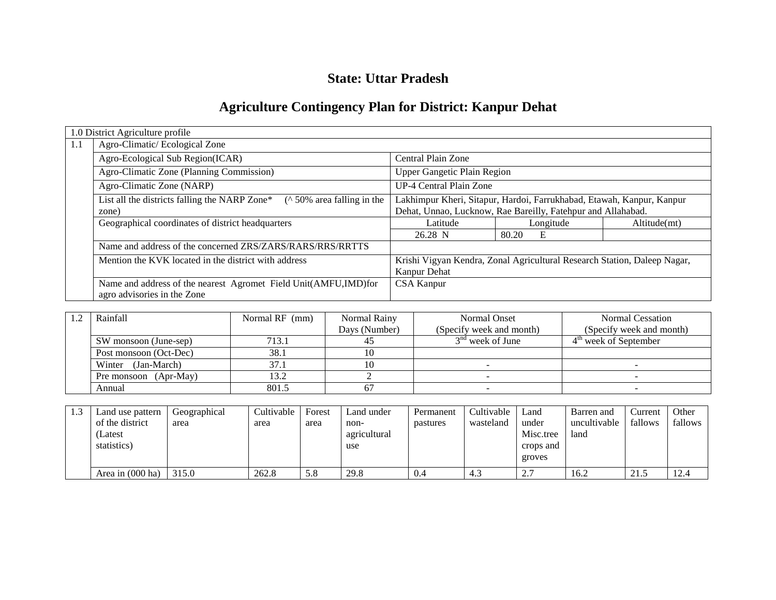## **State: Uttar Pradesh**

# **Agriculture Contingency Plan for District: Kanpur Dehat**

|     | 1.0 District Agriculture profile                                                               |                                                                                          |            |              |  |  |  |
|-----|------------------------------------------------------------------------------------------------|------------------------------------------------------------------------------------------|------------|--------------|--|--|--|
| 1.1 | Agro-Climatic/Ecological Zone                                                                  |                                                                                          |            |              |  |  |  |
|     | Agro-Ecological Sub Region(ICAR)                                                               | Central Plain Zone                                                                       |            |              |  |  |  |
|     | Agro-Climatic Zone (Planning Commission)                                                       | <b>Upper Gangetic Plain Region</b>                                                       |            |              |  |  |  |
|     | Agro-Climatic Zone (NARP)                                                                      | UP-4 Central Plain Zone                                                                  |            |              |  |  |  |
|     | $($ \ 50\% area falling in the<br>List all the districts falling the NARP Zone*                | Lakhimpur Kheri, Sitapur, Hardoi, Farrukhabad, Etawah, Kanpur, Kanpur                    |            |              |  |  |  |
|     | zone)                                                                                          | Dehat, Unnao, Lucknow, Rae Bareilly, Fatehpur and Allahabad.                             |            |              |  |  |  |
|     | Geographical coordinates of district headquarters                                              | Latitude                                                                                 | Longitude  | Altitude(mt) |  |  |  |
|     |                                                                                                | 26.28 N                                                                                  | E<br>80.20 |              |  |  |  |
|     | Name and address of the concerned ZRS/ZARS/RARS/RRS/RRTTS                                      |                                                                                          |            |              |  |  |  |
|     | Mention the KVK located in the district with address                                           | Krishi Vigyan Kendra, Zonal Agricultural Research Station, Daleep Nagar,<br>Kanpur Dehat |            |              |  |  |  |
|     | Name and address of the nearest Agromet Field Unit(AMFU,IMD)for<br>agro advisories in the Zone | <b>CSA Kanpur</b>                                                                        |            |              |  |  |  |

| Rainfall               | Normal RF (mm) | Normal Rainy  | <b>Normal Onset</b>      | Normal Cessation         |
|------------------------|----------------|---------------|--------------------------|--------------------------|
|                        |                | Days (Number) | (Specify week and month) | (Specify week and month) |
| SW monsoon (June-sep)  | 713.1          |               | $3nd$ week of June       | $4th$ week of September  |
| Post monsoon (Oct-Dec) | 38.1           |               |                          |                          |
| (Jan-March)<br>Winter  | 37.1           |               |                          |                          |
| Pre monsoon (Apr-May)  | 13.2           |               |                          |                          |
| Annual                 | 801.5          |               |                          |                          |

| Land use pattern           | Geographical | Cultivable | Forest | Land under   | Permanent | Cultivable | Land            | Barren and   | Current | Other   |
|----------------------------|--------------|------------|--------|--------------|-----------|------------|-----------------|--------------|---------|---------|
| of the district            | area         | area       | area   | non-         | pastures  | wasteland  | under           | uncultivable | fallows | fallows |
| (Latest                    |              |            |        | agricultural |           |            | Misc.tree       | land         |         |         |
| statistics)                |              |            |        | use          |           |            | crops and       |              |         |         |
|                            |              |            |        |              |           |            | groves          |              |         |         |
| Area in $(000 \text{ ha})$ | 315.0        | 262.8      | 5.8    | 29.8         | 0.4       | 4.3        | $\Omega$<br>ن ک | 16.2         | 21.5    | 12.4    |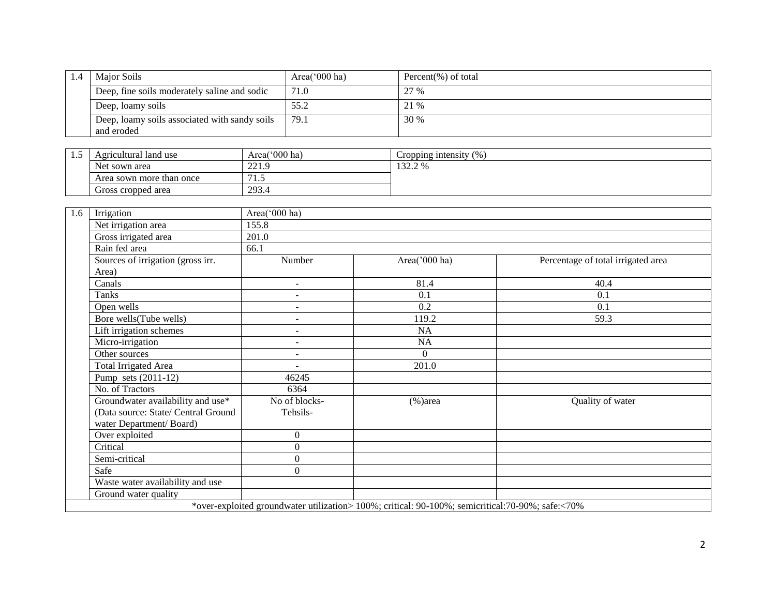| Major Soils                                                 | Area( $000$ ha) | Percent $(\%)$ of total |
|-------------------------------------------------------------|-----------------|-------------------------|
| Deep, fine soils moderately saline and sodic                | 71.0            | 27 %                    |
| Deep, loamy soils                                           | 55.2            | 21 %                    |
| Deep, loamy soils associated with sandy soils<br>and eroded | 79.1            | 30 %                    |

| سد | Agricultural land use    | Area('000 ha)            | (96)<br>Cropping intensity |
|----|--------------------------|--------------------------|----------------------------|
|    | Net sown area            | $\sim$ $\sim$ 1<br>441.2 | 13220<br>LJ <i>4.4 7</i> 0 |
|    | Area sown more than once | .                        |                            |
|    | Gross cropped area       | 293.4                    |                            |

| 1.6 | Irrigation                          | Area('000 ha)            |                                                                                                   |                                    |
|-----|-------------------------------------|--------------------------|---------------------------------------------------------------------------------------------------|------------------------------------|
|     | Net irrigation area                 | 155.8                    |                                                                                                   |                                    |
|     | Gross irrigated area                | 201.0                    |                                                                                                   |                                    |
|     | Rain fed area                       | 66.1                     |                                                                                                   |                                    |
|     | Sources of irrigation (gross irr.   | Number                   | Area('000 ha)                                                                                     | Percentage of total irrigated area |
|     | Area)                               |                          |                                                                                                   |                                    |
|     | Canals                              | $\overline{\phantom{a}}$ | $\overline{8}1.4$                                                                                 | 40.4                               |
|     | Tanks                               | $\overline{\phantom{a}}$ | 0.1                                                                                               | 0.1                                |
|     | Open wells                          |                          | 0.2                                                                                               | 0.1                                |
|     | Bore wells(Tube wells)              | ٠                        | 119.2                                                                                             | 59.3                               |
|     | Lift irrigation schemes             | $\overline{\phantom{a}}$ | NA                                                                                                |                                    |
|     | Micro-irrigation                    | ٠                        | NA                                                                                                |                                    |
|     | Other sources                       | $\overline{\phantom{a}}$ | $\Omega$                                                                                          |                                    |
|     | <b>Total Irrigated Area</b>         | $\sim$                   | 201.0                                                                                             |                                    |
|     | Pump sets $(2011-12)$               | 46245                    |                                                                                                   |                                    |
|     | No. of Tractors                     | 6364                     |                                                                                                   |                                    |
|     | Groundwater availability and use*   | No of blocks-            | $%$ )area                                                                                         | Quality of water                   |
|     | (Data source: State/ Central Ground | Tehsils-                 |                                                                                                   |                                    |
|     | water Department/Board)             |                          |                                                                                                   |                                    |
|     | Over exploited                      | $\boldsymbol{0}$         |                                                                                                   |                                    |
|     | Critical                            | $\boldsymbol{0}$         |                                                                                                   |                                    |
|     | Semi-critical                       | $\boldsymbol{0}$         |                                                                                                   |                                    |
|     | Safe                                | $\theta$                 |                                                                                                   |                                    |
|     | Waste water availability and use    |                          |                                                                                                   |                                    |
|     | Ground water quality                |                          |                                                                                                   |                                    |
|     |                                     |                          | *over-exploited groundwater utilization> 100%; critical: 90-100%; semicritical: 70-90%; safe:<70% |                                    |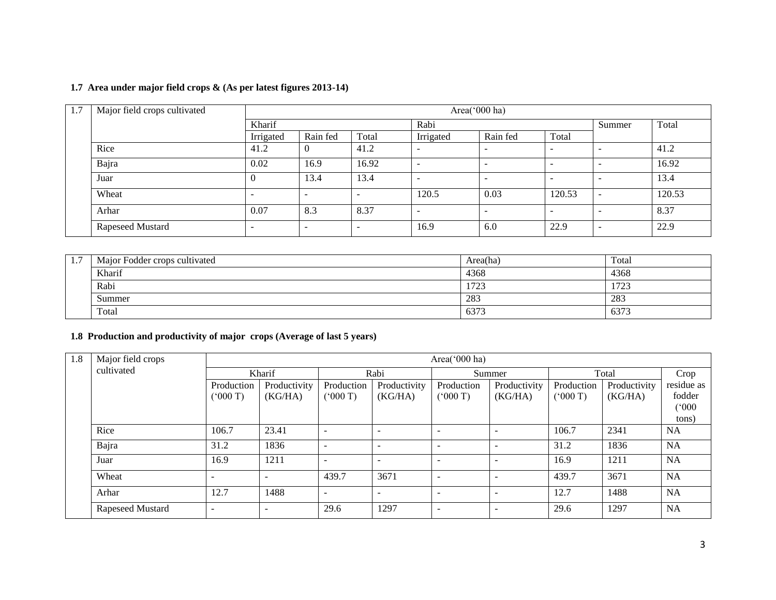| 1.7 | Major field crops cultivated |                          | Area('000 ha)            |                          |           |                          |                          |       |        |  |  |  |
|-----|------------------------------|--------------------------|--------------------------|--------------------------|-----------|--------------------------|--------------------------|-------|--------|--|--|--|
|     |                              | Kharif                   |                          |                          | Rabi      |                          | Summer                   | Total |        |  |  |  |
|     |                              | Irrigated                | Rain fed                 | Total                    | Irrigated | Rain fed                 | Total                    |       |        |  |  |  |
|     | Rice                         | 41.2                     |                          | 41.2                     |           | $\overline{\phantom{a}}$ | $\overline{\phantom{0}}$ |       | 41.2   |  |  |  |
|     | Bajra                        | 0.02                     | 16.9                     | 16.92                    |           | $\overline{\phantom{a}}$ | $\overline{\phantom{0}}$ |       | 16.92  |  |  |  |
|     | Juar                         | U                        | 13.4                     | 13.4                     |           | -                        | $\overline{\phantom{a}}$ | -     | 13.4   |  |  |  |
|     | Wheat                        | $\overline{\phantom{a}}$ | $\overline{\phantom{a}}$ | $\overline{\phantom{0}}$ | 120.5     | 0.03                     | 120.53                   | -     | 120.53 |  |  |  |
|     | Arhar                        | 0.07                     | 8.3                      | 8.37                     |           | -                        | -                        |       | 8.37   |  |  |  |
|     | Rapeseed Mustard             | $\overline{\phantom{a}}$ | $\overline{\phantom{a}}$ | $\overline{\phantom{a}}$ | 16.9      | 6.0                      | 22.9                     | -     | 22.9   |  |  |  |

## **1.7 Area under major field crops & (As per latest figures 2013-14)**

| <b>L.</b> | Major Fodder crops cultivated | Area(ha) | Total        |
|-----------|-------------------------------|----------|--------------|
|           | Kharif                        | 4368     | 4368         |
|           | Rabi                          | 1723     | 1722<br>ر ۱۷ |
|           | Summer                        | 283      | 283          |
|           | Total                         | 6373     | 6373         |

## **1.8 Production and productivity of major crops (Average of last 5 years)**

| 1.8 | Major field crops |                          | Area( $000$ ha)          |                          |                          |                          |                         |                            |                         |                      |  |  |  |  |
|-----|-------------------|--------------------------|--------------------------|--------------------------|--------------------------|--------------------------|-------------------------|----------------------------|-------------------------|----------------------|--|--|--|--|
|     | cultivated        | Kharif                   |                          |                          | Rabi                     |                          | Summer                  |                            | Total                   | Crop                 |  |  |  |  |
|     |                   | Production<br>(° 000 T)  | Productivity<br>(KG/HA)  | Production<br>(000T)     | Productivity<br>(KG/HA)  | Production<br>(000 T)    | Productivity<br>(KG/HA) | Production<br>$(^{o}000T)$ | Productivity<br>(KG/HA) | residue as<br>fodder |  |  |  |  |
|     |                   |                          |                          |                          |                          |                          |                         |                            |                         | (°000)<br>tons)      |  |  |  |  |
|     | Rice              | 106.7                    | 23.41                    | $\overline{\phantom{a}}$ | $\overline{\phantom{a}}$ | $\overline{\phantom{a}}$ |                         | 106.7                      | 2341                    | <b>NA</b>            |  |  |  |  |
|     | Bajra             | 31.2                     | 1836                     | $\overline{\phantom{a}}$ | $\overline{\phantom{a}}$ | $\overline{\phantom{a}}$ |                         | 31.2                       | 1836                    | <b>NA</b>            |  |  |  |  |
|     | Juar              | 16.9                     | 1211                     | $\overline{\phantom{a}}$ | $\overline{\phantom{a}}$ | $\overline{\phantom{a}}$ |                         | 16.9                       | 1211                    | <b>NA</b>            |  |  |  |  |
|     | Wheat             | $\overline{\phantom{a}}$ | $\overline{\phantom{a}}$ | 439.7                    | 3671                     | $\overline{\phantom{0}}$ |                         | 439.7                      | 3671                    | <b>NA</b>            |  |  |  |  |
|     | Arhar             | 12.7                     | 1488                     | $\overline{\phantom{a}}$ | $\overline{\phantom{0}}$ | $\overline{\phantom{0}}$ |                         | 12.7                       | 1488                    | <b>NA</b>            |  |  |  |  |
|     | Rapeseed Mustard  | $\overline{\phantom{a}}$ | $\overline{\phantom{a}}$ | 29.6                     | 1297                     | $\overline{\phantom{a}}$ |                         | 29.6                       | 1297                    | <b>NA</b>            |  |  |  |  |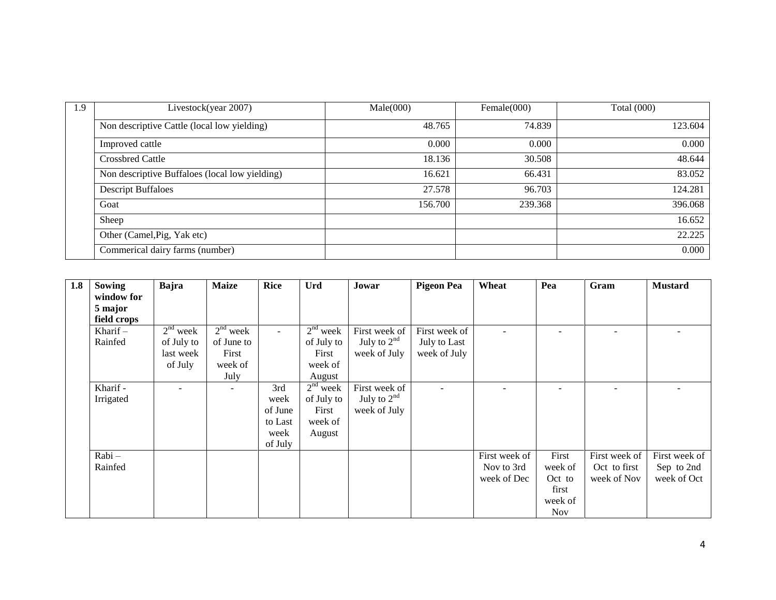| 1.9 | Livestock(year 2007)                           | Male(000) | Female(000) | <b>Total</b> (000) |
|-----|------------------------------------------------|-----------|-------------|--------------------|
|     | Non descriptive Cattle (local low yielding)    | 48.765    | 74.839      | 123.604            |
|     | Improved cattle                                | 0.000     | 0.000       | 0.000              |
|     | <b>Crossbred Cattle</b>                        | 18.136    | 30.508      | 48.644             |
|     | Non descriptive Buffaloes (local low yielding) | 16.621    | 66.431      | 83.052             |
|     | <b>Descript Buffaloes</b>                      | 27.578    | 96.703      | 124.281            |
|     | Goat                                           | 156.700   | 239.368     | 396.068            |
|     | Sheep                                          |           |             | 16.652             |
|     | Other (Camel, Pig, Yak etc)                    |           |             | 22.225             |
|     | Commerical dairy farms (number)                |           |             | 0.000              |

| 1.8 | Sowing      | Bajra      | <b>Maize</b>             | <b>Rice</b> | Urd        | Jowar         | <b>Pigeon Pea</b> | Wheat         | Pea                      | Gram          | <b>Mustard</b> |
|-----|-------------|------------|--------------------------|-------------|------------|---------------|-------------------|---------------|--------------------------|---------------|----------------|
|     | window for  |            |                          |             |            |               |                   |               |                          |               |                |
|     | 5 major     |            |                          |             |            |               |                   |               |                          |               |                |
|     | field crops |            |                          |             |            |               |                   |               |                          |               |                |
|     | Kharif $-$  | $2nd$ week | $2nd$ week               | $\sim$      | $2nd$ week | First week of | First week of     |               | $\overline{\phantom{a}}$ |               |                |
|     | Rainfed     | of July to | of June to               |             | of July to | July to $2nd$ | July to Last      |               |                          |               |                |
|     |             | last week  | First                    |             | First      | week of July  | week of July      |               |                          |               |                |
|     |             | of July    | week of                  |             | week of    |               |                   |               |                          |               |                |
|     |             |            | July                     |             | August     |               |                   |               |                          |               |                |
|     | Kharif -    |            | $\overline{\phantom{0}}$ | 3rd         | $2nd$ week | First week of |                   |               | $\overline{\phantom{0}}$ |               |                |
|     | Irrigated   |            |                          | week        | of July to | July to $2nd$ |                   |               |                          |               |                |
|     |             |            |                          | of June     | First      | week of July  |                   |               |                          |               |                |
|     |             |            |                          | to Last     | week of    |               |                   |               |                          |               |                |
|     |             |            |                          | week        | August     |               |                   |               |                          |               |                |
|     |             |            |                          | of July     |            |               |                   |               |                          |               |                |
|     | Rabi-       |            |                          |             |            |               |                   | First week of | First                    | First week of | First week of  |
|     | Rainfed     |            |                          |             |            |               |                   | Nov to 3rd    | week of                  | Oct to first  | Sep to 2nd     |
|     |             |            |                          |             |            |               |                   | week of Dec   | Oct to                   | week of Nov   | week of Oct    |
|     |             |            |                          |             |            |               |                   |               | first                    |               |                |
|     |             |            |                          |             |            |               |                   |               | week of                  |               |                |
|     |             |            |                          |             |            |               |                   |               | <b>Nov</b>               |               |                |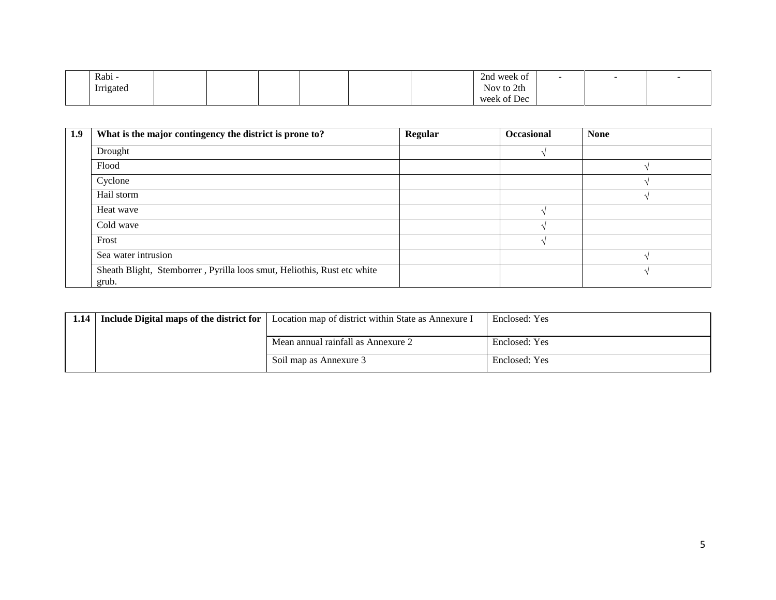| Rabi -    |  |  |  | 2nd week of    | - |  |
|-----------|--|--|--|----------------|---|--|
| Irrigated |  |  |  | Nov to 2th     |   |  |
|           |  |  |  | of Dec<br>week |   |  |

| 1.9 | What is the major contingency the district is prone to?                 | Regular | <b>Occasional</b> | <b>None</b> |
|-----|-------------------------------------------------------------------------|---------|-------------------|-------------|
|     | Drought                                                                 |         |                   |             |
|     | Flood                                                                   |         |                   |             |
|     | Cyclone                                                                 |         |                   |             |
|     | Hail storm                                                              |         |                   |             |
|     | Heat wave                                                               |         |                   |             |
|     | Cold wave                                                               |         |                   |             |
|     | Frost                                                                   |         |                   |             |
|     | Sea water intrusion                                                     |         |                   |             |
|     | Sheath Blight, Stemborrer, Pyrilla loos smut, Heliothis, Rust etc white |         |                   |             |
|     | grub.                                                                   |         |                   |             |

| 1.14   Include Digital maps of the district for | Location map of district within State as Annexure I | Enclosed: Yes |
|-------------------------------------------------|-----------------------------------------------------|---------------|
|                                                 |                                                     |               |
|                                                 | Mean annual rainfall as Annexure 2                  | Enclosed: Yes |
|                                                 | Soil map as Annexure 3                              | Enclosed: Yes |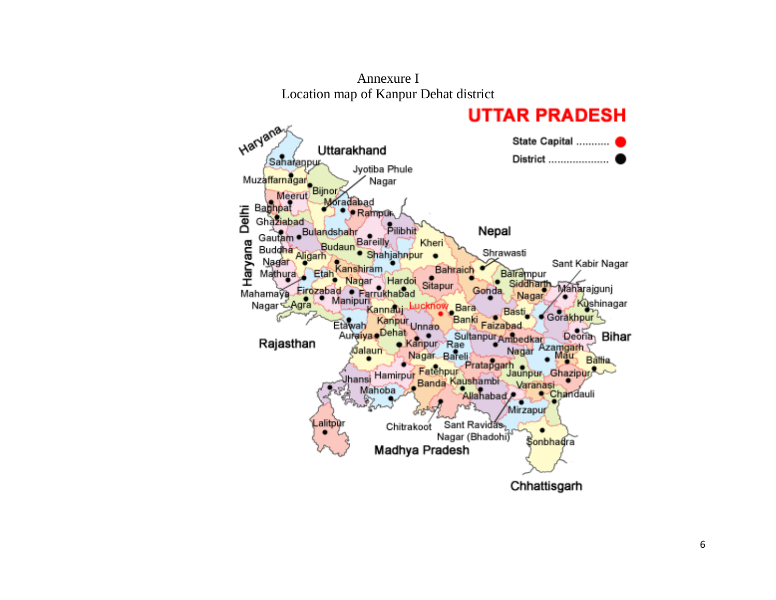

Annexure I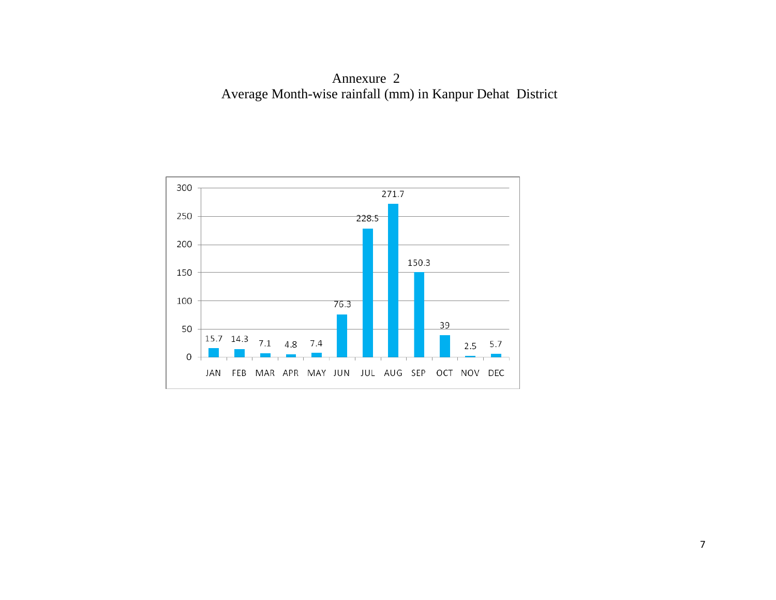Annexure 2 Average Month-wise rainfall (mm) in Kanpur Dehat District

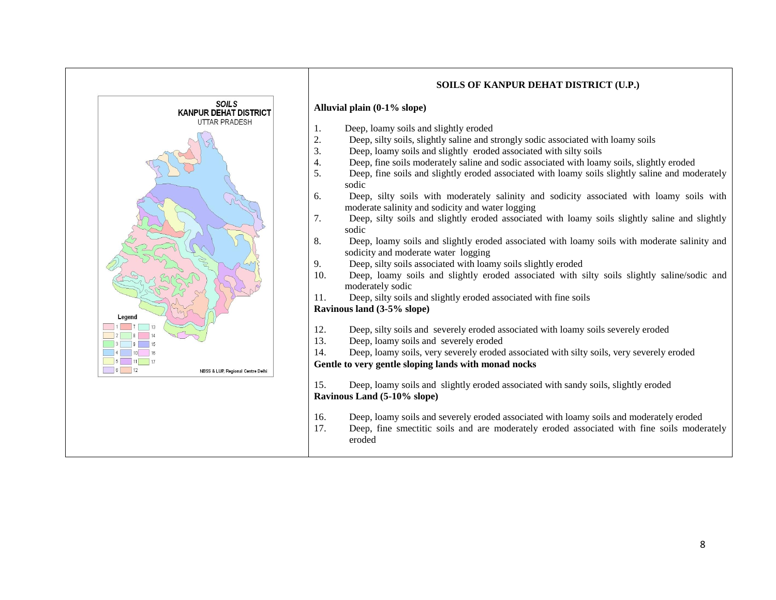

#### **SOILS OF KANPUR DEHAT DISTRICT (U.P.)**

#### **Alluvial plain (0-1% slope)**

- 1. Deep, loamy soils and slightly eroded
- 2. Deep, silty soils, slightly saline and strongly sodic associated with loamy soils
- 3. Deep, loamy soils and slightly eroded associated with silty soils
- 4. Deep, fine soils moderately saline and sodic associated with loamy soils, slightly eroded
- 5. Deep, fine soils and slightly eroded associated with loamy soils slightly saline and moderately sodic
- 6. Deep, silty soils with moderately salinity and sodicity associated with loamy soils with moderate salinity and sodicity and water logging
- 7. Deep, silty soils and slightly eroded associated with loamy soils slightly saline and slightly sodic
- 8. Deep, loamy soils and slightly eroded associated with loamy soils with moderate salinity and sodicity and moderate water logging
- 9. Deep, silty soils associated with loamy soils slightly eroded
- 10. Deep, loamy soils and slightly eroded associated with silty soils slightly saline/sodic and moderately sodic
- 11. Deep, silty soils and slightly eroded associated with fine soils

#### **Ravinous land (3-5% slope)**

- 12. Deep, silty soils and severely eroded associated with loamy soils severely eroded
- 13. Deep, loamy soils and severely eroded
- 14. Deep, loamy soils, very severely eroded associated with silty soils, very severely eroded

#### **Gentle to very gentle sloping lands with monad nocks**

15. Deep, loamy soils and slightly eroded associated with sandy soils, slightly eroded **Ravinous Land (5-10% slope)**

- 16. Deep, loamy soils and severely eroded associated with loamy soils and moderately eroded
- 17. Deep, fine smectitic soils and are moderately eroded associated with fine soils moderately eroded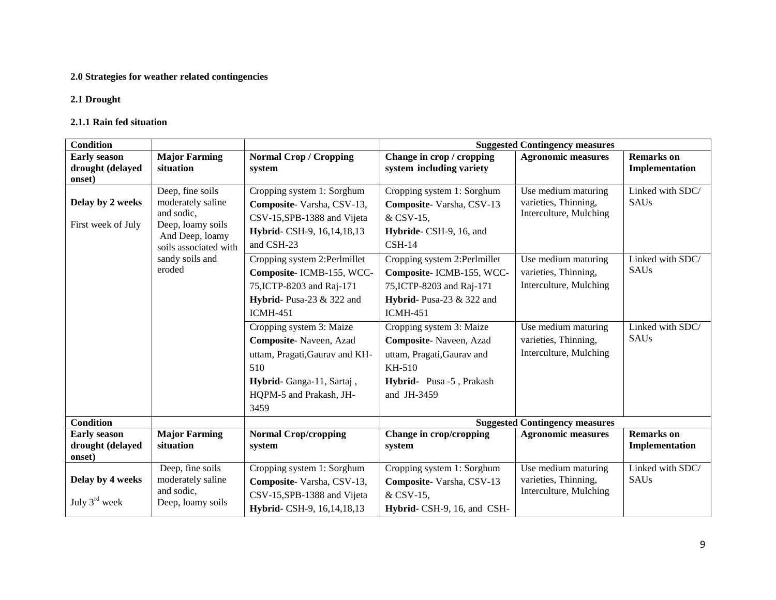## **2.0 Strategies for weather related contingencies**

#### **2.1 Drought**

#### **2.1.1 Rain fed situation**

| <b>Condition</b>                                  |                                                                                                                                                   |                                                                                                                                                                                                                                                                                       | <b>Suggested Contingency measures</b>                                                                                                                                                                                                                      |                                                                                                                                                |                                                      |  |
|---------------------------------------------------|---------------------------------------------------------------------------------------------------------------------------------------------------|---------------------------------------------------------------------------------------------------------------------------------------------------------------------------------------------------------------------------------------------------------------------------------------|------------------------------------------------------------------------------------------------------------------------------------------------------------------------------------------------------------------------------------------------------------|------------------------------------------------------------------------------------------------------------------------------------------------|------------------------------------------------------|--|
| <b>Early season</b>                               | <b>Major Farming</b>                                                                                                                              | <b>Normal Crop / Cropping</b>                                                                                                                                                                                                                                                         | Change in crop / cropping                                                                                                                                                                                                                                  | <b>Agronomic measures</b>                                                                                                                      | <b>Remarks</b> on                                    |  |
| drought (delayed<br>onset)                        | situation                                                                                                                                         | system                                                                                                                                                                                                                                                                                | system including variety                                                                                                                                                                                                                                   |                                                                                                                                                | Implementation                                       |  |
| Delay by 2 weeks<br>First week of July            | Deep, fine soils<br>moderately saline<br>and sodic,<br>Deep, loamy soils<br>And Deep, loamy<br>soils associated with<br>sandy soils and<br>eroded | Cropping system 1: Sorghum<br>Composite-Varsha, CSV-13,<br>CSV-15, SPB-1388 and Vijeta<br>Hybrid- CSH-9, 16, 14, 18, 13<br>and CSH-23<br>Cropping system 2:Perlmillet<br>Composite-ICMB-155, WCC-<br>75, ICTP-8203 and Raj-171<br><b>Hybrid-</b> Pusa-23 & 322 and<br><b>ICMH-451</b> | Cropping system 1: Sorghum<br>Composite-Varsha, CSV-13<br>& CSV-15,<br>Hybride- CSH-9, 16, and<br>$CSH-14$<br>Cropping system 2:Perlmillet<br>Composite-ICMB-155, WCC-<br>75, ICTP-8203 and Raj-171<br><b>Hybrid-</b> Pusa-23 & 322 and<br><b>ICMH-451</b> | Use medium maturing<br>varieties, Thinning,<br>Interculture, Mulching<br>Use medium maturing<br>varieties, Thinning,<br>Interculture, Mulching | Linked with SDC/<br>SAUs<br>Linked with SDC/<br>SAUs |  |
|                                                   |                                                                                                                                                   | Cropping system 3: Maize<br>Composite-Naveen, Azad<br>uttam, Pragati, Gaurav and KH-<br>510<br>Hybrid-Ganga-11, Sartaj,<br>HQPM-5 and Prakash, JH-<br>3459                                                                                                                            | Cropping system 3: Maize<br>Composite-Naveen, Azad<br>uttam, Pragati, Gaurav and<br>KH-510<br>Hybrid- Pusa -5, Prakash<br>and JH-3459                                                                                                                      | Use medium maturing<br>varieties, Thinning,<br>Interculture, Mulching                                                                          | Linked with SDC/<br>SAUs                             |  |
| <b>Condition</b>                                  |                                                                                                                                                   |                                                                                                                                                                                                                                                                                       |                                                                                                                                                                                                                                                            | <b>Suggested Contingency measures</b>                                                                                                          |                                                      |  |
| <b>Early season</b><br>drought (delayed<br>onset) | <b>Major Farming</b><br>situation                                                                                                                 | <b>Normal Crop/cropping</b><br>system                                                                                                                                                                                                                                                 | Change in crop/cropping<br>system                                                                                                                                                                                                                          | <b>Agronomic measures</b>                                                                                                                      | <b>Remarks</b> on<br>Implementation                  |  |
| Delay by 4 weeks<br>July $3^{\text{rd}}$ week     | Deep, fine soils<br>moderately saline<br>and sodic,<br>Deep, loamy soils                                                                          | Cropping system 1: Sorghum<br>Composite-Varsha, CSV-13,<br>CSV-15, SPB-1388 and Vijeta<br>Hybrid- CSH-9, 16, 14, 18, 13                                                                                                                                                               | Cropping system 1: Sorghum<br>Composite-Varsha, CSV-13<br>& CSV-15,<br>Hybrid- CSH-9, 16, and CSH-                                                                                                                                                         | Use medium maturing<br>varieties, Thinning,<br>Interculture, Mulching                                                                          | Linked with SDC/<br>SAUs                             |  |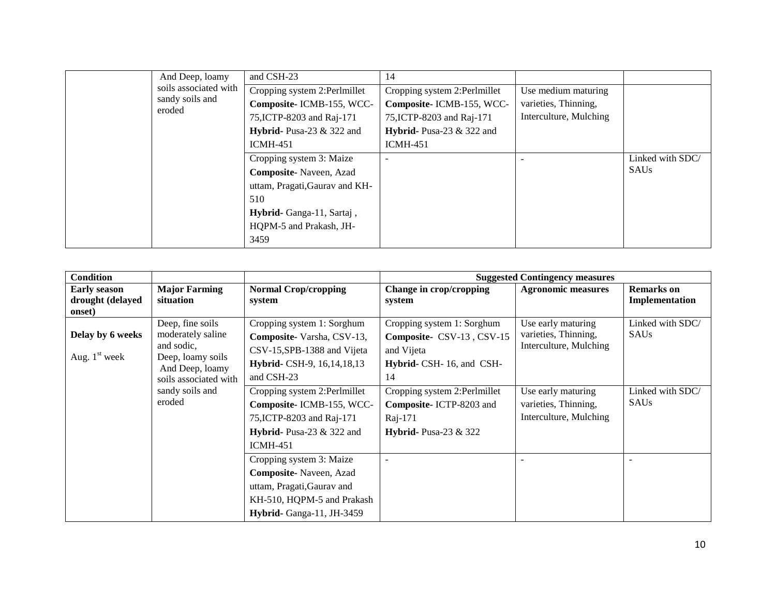| And Deep, loamy           | and CSH-23                     | 14                                  |                        |                  |
|---------------------------|--------------------------------|-------------------------------------|------------------------|------------------|
| soils associated with     | Cropping system 2:Perlmillet   | Cropping system 2:Perlmillet        | Use medium maturing    |                  |
| sandy soils and<br>eroded | Composite-ICMB-155, WCC-       | Composite-ICMB-155, WCC-            | varieties, Thinning,   |                  |
|                           | 75, ICTP-8203 and Raj-171      | 75, ICTP-8203 and Raj-171           | Interculture, Mulching |                  |
|                           | Hybrid-Pusa-23 $&$ 322 and     | <b>Hybrid-</b> Pusa-23 $\&$ 322 and |                        |                  |
|                           | <b>ICMH-451</b>                | $ICMH-451$                          |                        |                  |
|                           | Cropping system 3: Maize       |                                     |                        | Linked with SDC/ |
|                           | Composite-Naveen, Azad         |                                     |                        | <b>SAUs</b>      |
|                           | uttam, Pragati, Gaurav and KH- |                                     |                        |                  |
|                           | 510                            |                                     |                        |                  |
|                           | Hybrid- Ganga-11, Sartaj,      |                                     |                        |                  |
|                           | HQPM-5 and Prakash, JH-        |                                     |                        |                  |
|                           | 3459                           |                                     |                        |                  |

| <b>Condition</b>                        |                                                     |                                                         |                                                         | <b>Suggested Contingency measures</b>                                |                                     |
|-----------------------------------------|-----------------------------------------------------|---------------------------------------------------------|---------------------------------------------------------|----------------------------------------------------------------------|-------------------------------------|
| <b>Early season</b><br>drought (delayed | <b>Major Farming</b><br>situation                   | <b>Normal Crop/cropping</b><br>system                   | Change in crop/cropping<br>system                       | <b>Agronomic measures</b>                                            | <b>Remarks</b> on<br>Implementation |
| onset)                                  |                                                     |                                                         |                                                         |                                                                      |                                     |
| Delay by 6 weeks                        | Deep, fine soils<br>moderately saline<br>and sodic, | Cropping system 1: Sorghum<br>Composite-Varsha, CSV-13, | Cropping system 1: Sorghum<br>Composite- CSV-13, CSV-15 | Use early maturing<br>varieties, Thinning,<br>Interculture, Mulching | Linked with SDC/<br>SAUs            |
| Aug. $1st$ week                         | Deep, loamy soils                                   | CSV-15, SPB-1388 and Vijeta                             | and Vijeta                                              |                                                                      |                                     |
|                                         | And Deep, loamy                                     | Hybrid- CSH-9, 16, 14, 18, 13                           | Hybrid- CSH-16, and CSH-                                |                                                                      |                                     |
|                                         | soils associated with                               | and CSH-23                                              | 14                                                      |                                                                      |                                     |
|                                         | sandy soils and                                     | Cropping system 2:Perlmillet                            | Cropping system 2:Perlmillet                            | Use early maturing                                                   | Linked with SDC/                    |
|                                         | eroded                                              | Composite-ICMB-155, WCC-                                | Composite-ICTP-8203 and                                 | varieties, Thinning,                                                 | SAUs                                |
|                                         |                                                     | 75, ICTP-8203 and Raj-171                               | Raj-171                                                 | Interculture, Mulching                                               |                                     |
|                                         |                                                     | Hybrid-Pusa-23 $&$ 322 and                              | Hybrid-Pusa-23 $&$ 322                                  |                                                                      |                                     |
|                                         |                                                     | <b>ICMH-451</b>                                         |                                                         |                                                                      |                                     |
|                                         |                                                     | Cropping system 3: Maize                                |                                                         |                                                                      |                                     |
|                                         |                                                     | Composite-Naveen, Azad                                  |                                                         |                                                                      |                                     |
|                                         |                                                     | uttam, Pragati, Gaurav and                              |                                                         |                                                                      |                                     |
|                                         |                                                     | KH-510, HQPM-5 and Prakash                              |                                                         |                                                                      |                                     |
|                                         |                                                     | Hybrid-Ganga-11, JH-3459                                |                                                         |                                                                      |                                     |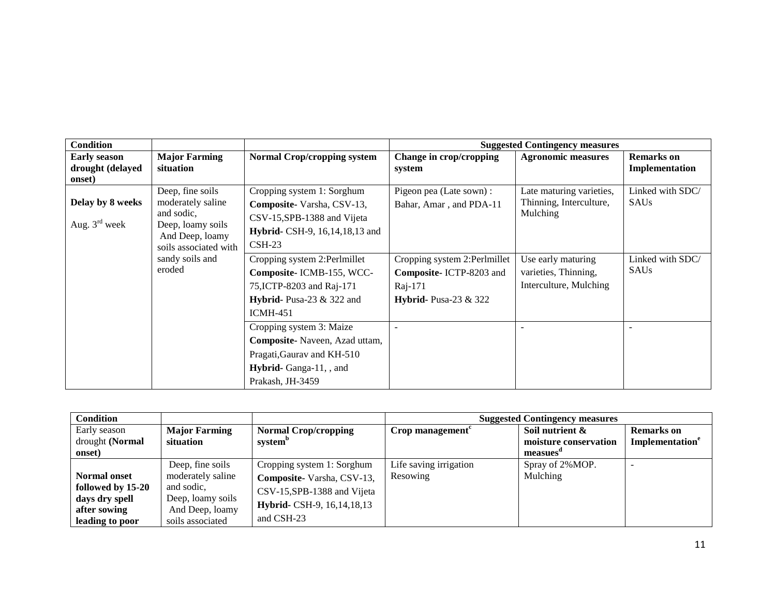| <b>Condition</b>                                  |                                                                                                                      |                                                                                                                                                |                                                                                                    | <b>Suggested Contingency measures</b>                                |                                     |
|---------------------------------------------------|----------------------------------------------------------------------------------------------------------------------|------------------------------------------------------------------------------------------------------------------------------------------------|----------------------------------------------------------------------------------------------------|----------------------------------------------------------------------|-------------------------------------|
| <b>Early season</b><br>drought (delayed<br>onset) | <b>Major Farming</b><br>situation                                                                                    | <b>Normal Crop/cropping system</b>                                                                                                             | Change in crop/cropping<br>system                                                                  | <b>Agronomic measures</b>                                            | <b>Remarks</b> on<br>Implementation |
| Delay by 8 weeks<br>Aug. $3^{\text{rd}}$ week     | Deep, fine soils<br>moderately saline<br>and sodic,<br>Deep, loamy soils<br>And Deep, loamy<br>soils associated with | Cropping system 1: Sorghum<br>Composite-Varsha, CSV-13,<br>CSV-15, SPB-1388 and Vijeta<br><b>Hybrid-</b> CSH-9, 16, 14, 18, 13 and<br>$CSH-23$ | Pigeon pea (Late sown) :<br>Bahar, Amar, and PDA-11                                                | Late maturing varieties,<br>Thinning, Interculture,<br>Mulching      | Linked with SDC/<br><b>SAUs</b>     |
|                                                   | sandy soils and<br>eroded                                                                                            | Cropping system 2:Perlmillet<br>Composite-ICMB-155, WCC-<br>75, ICTP-8203 and Raj-171<br>Hybrid- Pusa-23 $&$ 322 and<br><b>ICMH-451</b>        | Cropping system 2:Perlmillet<br>Composite-ICTP-8203 and<br>Raj-171<br><b>Hybrid-</b> Pusa-23 & 322 | Use early maturing<br>varieties, Thinning,<br>Interculture, Mulching | Linked with SDC/<br><b>SAUs</b>     |
|                                                   |                                                                                                                      | Cropping system 3: Maize<br>Composite-Naveen, Azad uttam,<br>Pragati, Gaurav and KH-510<br>Hybrid-Ganga-11, , and<br>Prakash, JH-3459          |                                                                                                    |                                                                      |                                     |

| <b>Condition</b>    |                      |                               | <b>Suggested Contingency measures</b> |                       |                             |
|---------------------|----------------------|-------------------------------|---------------------------------------|-----------------------|-----------------------------|
| Early season        | <b>Major Farming</b> | <b>Normal Crop/cropping</b>   | Crop management <sup>c</sup>          | Soil nutrient &       | <b>Remarks</b> on           |
| drought (Normal     | situation            | system <sup>p</sup>           |                                       | moisture conservation | Implementation <sup>e</sup> |
| onset)              |                      |                               |                                       | measues               |                             |
|                     | Deep, fine soils     | Cropping system 1: Sorghum    | Life saving irrigation                | Spray of 2%MOP.       |                             |
| <b>Normal onset</b> | moderately saline    | Composite-Varsha, CSV-13,     | Resowing                              | Mulching              |                             |
| followed by 15-20   | and sodic,           | CSV-15, SPB-1388 and Vijeta   |                                       |                       |                             |
| days dry spell      | Deep, loamy soils    |                               |                                       |                       |                             |
| after sowing        | And Deep, loamy      | Hybrid- CSH-9, 16, 14, 18, 13 |                                       |                       |                             |
| leading to poor     | soils associated     | and CSH-23                    |                                       |                       |                             |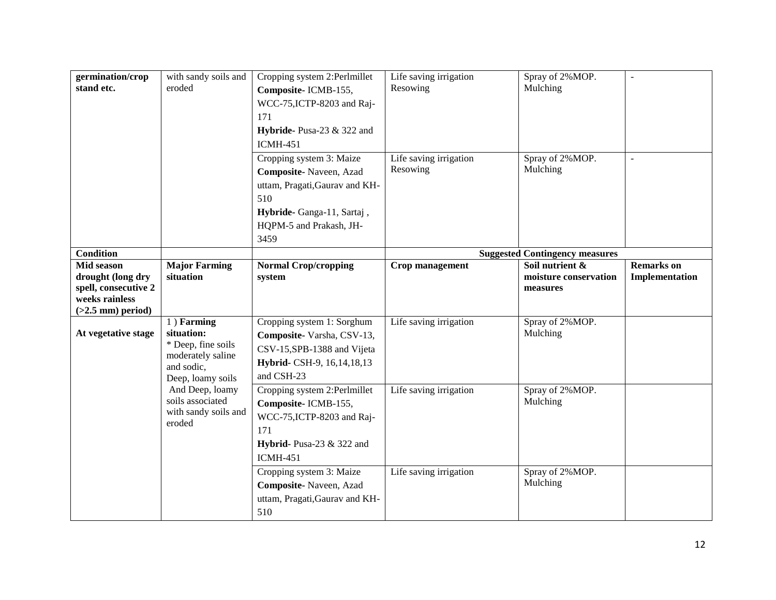| germination/crop                          | with sandy soils and              | Cropping system 2:Perlmillet                         | Life saving irrigation | Spray of 2% MOP.                         |                   |
|-------------------------------------------|-----------------------------------|------------------------------------------------------|------------------------|------------------------------------------|-------------------|
| stand etc.                                | eroded                            | Composite-ICMB-155,                                  | Resowing               | Mulching                                 |                   |
|                                           |                                   | WCC-75, ICTP-8203 and Raj-                           |                        |                                          |                   |
|                                           |                                   | 171                                                  |                        |                                          |                   |
|                                           |                                   | Hybride-Pusa-23 & 322 and                            |                        |                                          |                   |
|                                           |                                   | <b>ICMH-451</b>                                      |                        |                                          |                   |
|                                           |                                   | Cropping system 3: Maize                             | Life saving irrigation | Spray of 2% MOP.                         |                   |
|                                           |                                   | Composite-Naveen, Azad                               | Resowing               | Mulching                                 |                   |
|                                           |                                   | uttam, Pragati, Gaurav and KH-                       |                        |                                          |                   |
|                                           |                                   | 510                                                  |                        |                                          |                   |
|                                           |                                   |                                                      |                        |                                          |                   |
|                                           |                                   | Hybride-Ganga-11, Sartaj,<br>HQPM-5 and Prakash, JH- |                        |                                          |                   |
|                                           |                                   | 3459                                                 |                        |                                          |                   |
|                                           |                                   |                                                      |                        |                                          |                   |
| <b>Condition</b>                          |                                   |                                                      |                        | <b>Suggested Contingency measures</b>    |                   |
| Mid season                                | <b>Major Farming</b><br>situation | <b>Normal Crop/cropping</b>                          | Crop management        | Soil nutrient &<br>moisture conservation | <b>Remarks</b> on |
| drought (long dry<br>spell, consecutive 2 |                                   | system                                               |                        | measures                                 | Implementation    |
| weeks rainless                            |                                   |                                                      |                        |                                          |                   |
| $(>2.5$ mm) period)                       |                                   |                                                      |                        |                                          |                   |
|                                           | 1) Farming                        | Cropping system 1: Sorghum                           | Life saving irrigation | Spray of 2%MOP.                          |                   |
| At vegetative stage                       | situation:                        | Composite-Varsha, CSV-13,                            |                        | Mulching                                 |                   |
|                                           | * Deep, fine soils                | CSV-15, SPB-1388 and Vijeta                          |                        |                                          |                   |
|                                           | moderately saline<br>and sodic,   | Hybrid- CSH-9, 16, 14, 18, 13                        |                        |                                          |                   |
|                                           | Deep, loamy soils                 | and CSH-23                                           |                        |                                          |                   |
|                                           | And Deep, loamy                   | Cropping system 2:Perlmillet                         | Life saving irrigation | Spray of 2% MOP.                         |                   |
|                                           | soils associated                  | Composite-ICMB-155,                                  |                        | Mulching                                 |                   |
|                                           | with sandy soils and              | WCC-75, ICTP-8203 and Raj-                           |                        |                                          |                   |
|                                           | eroded                            | 171                                                  |                        |                                          |                   |
|                                           |                                   | Hybrid- Pusa-23 $&$ 322 and                          |                        |                                          |                   |
|                                           |                                   | <b>ICMH-451</b>                                      |                        |                                          |                   |
|                                           |                                   | Cropping system 3: Maize                             | Life saving irrigation | Spray of 2% MOP.                         |                   |
|                                           |                                   | Composite-Naveen, Azad                               |                        | Mulching                                 |                   |
|                                           |                                   |                                                      |                        |                                          |                   |
|                                           |                                   | uttam, Pragati, Gaurav and KH-                       |                        |                                          |                   |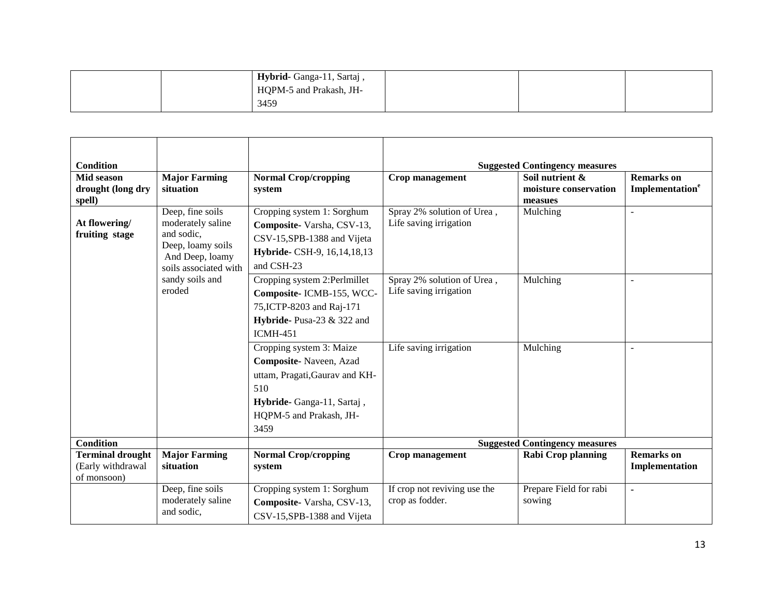| Hybrid-Ganga-11, Sartaj, |  |  |
|--------------------------|--|--|
| HQPM-5 and Prakash, JH-  |  |  |
| 3459                     |  |  |

| <b>Condition</b>                                            |                                                                                                                      |                                                                                                                                                             |                                                      | <b>Suggested Contingency measures</b>               |                                                  |
|-------------------------------------------------------------|----------------------------------------------------------------------------------------------------------------------|-------------------------------------------------------------------------------------------------------------------------------------------------------------|------------------------------------------------------|-----------------------------------------------------|--------------------------------------------------|
| Mid season<br>drought (long dry<br>spell)                   | <b>Major Farming</b><br>situation                                                                                    | <b>Normal Crop/cropping</b><br>system                                                                                                                       | Crop management                                      | Soil nutrient &<br>moisture conservation<br>measues | <b>Remarks</b> on<br>Implementation <sup>e</sup> |
| At flowering/<br>fruiting stage                             | Deep, fine soils<br>moderately saline<br>and sodic,<br>Deep, loamy soils<br>And Deep, loamy<br>soils associated with | Cropping system 1: Sorghum<br>Composite-Varsha, CSV-13,<br>CSV-15, SPB-1388 and Vijeta<br>Hybride- CSH-9, 16, 14, 18, 13<br>and CSH-23                      | Spray 2% solution of Urea,<br>Life saving irrigation | Mulching                                            |                                                  |
|                                                             | sandy soils and<br>eroded                                                                                            | Cropping system 2:Perlmillet<br>Composite- ICMB-155, WCC-<br>75, ICTP-8203 and Raj-171<br>Hybride-Pusa-23 & 322 and<br><b>ICMH-451</b>                      | Spray 2% solution of Urea,<br>Life saving irrigation | Mulching                                            | $\overline{a}$                                   |
|                                                             |                                                                                                                      | Cropping system 3: Maize<br>Composite-Naveen, Azad<br>uttam, Pragati, Gaurav and KH-<br>510<br>Hybride-Ganga-11, Sartaj,<br>HQPM-5 and Prakash, JH-<br>3459 | Life saving irrigation                               | Mulching                                            | $\overline{a}$                                   |
| <b>Condition</b>                                            |                                                                                                                      |                                                                                                                                                             |                                                      | <b>Suggested Contingency measures</b>               |                                                  |
| <b>Terminal drought</b><br>(Early withdrawal<br>of monsoon) | <b>Major Farming</b><br>situation                                                                                    | <b>Normal Crop/cropping</b><br>system                                                                                                                       | Crop management                                      | <b>Rabi Crop planning</b>                           | <b>Remarks</b> on<br>Implementation              |
|                                                             | Deep, fine soils<br>moderately saline<br>and sodic,                                                                  | Cropping system 1: Sorghum<br>Composite-Varsha, CSV-13,<br>CSV-15, SPB-1388 and Vijeta                                                                      | If crop not reviving use the<br>crop as fodder.      | Prepare Field for rabi<br>sowing                    | $\blacksquare$                                   |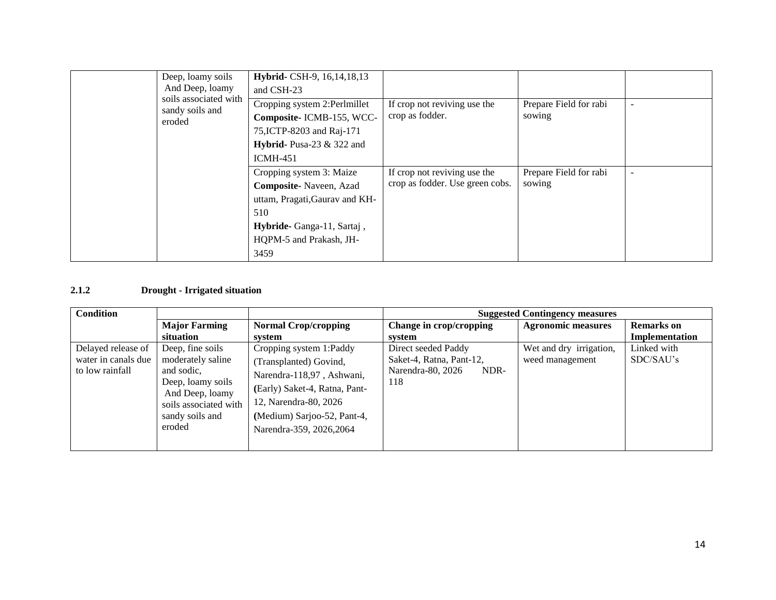| Deep, loamy soils<br>And Deep, loamy               | Hybrid- CSH-9, 16, 14, 18, 13<br>and CSH-23                                                                                                                 |                                                                 |                                  |                          |
|----------------------------------------------------|-------------------------------------------------------------------------------------------------------------------------------------------------------------|-----------------------------------------------------------------|----------------------------------|--------------------------|
| soils associated with<br>sandy soils and<br>eroded | Cropping system 2:Perlmillet<br>Composite-ICMB-155, WCC-<br>75, ICTP-8203 and Raj-171<br>Hybrid-Pusa-23 $&$ 322 and<br>$ICMH-451$                           | If crop not reviving use the<br>crop as fodder.                 | Prepare Field for rabi<br>sowing |                          |
|                                                    | Cropping system 3: Maize<br>Composite-Naveen, Azad<br>uttam, Pragati, Gaurav and KH-<br>510<br>Hybride-Ganga-11, Sartaj,<br>HQPM-5 and Prakash, JH-<br>3459 | If crop not reviving use the<br>crop as fodder. Use green cobs. | Prepare Field for rabi<br>sowing | $\overline{\phantom{a}}$ |

## **2.1.2 Drought - Irrigated situation**

| <b>Condition</b>                                             |                                                                                                                                                   |                                                                                                                                                                                                     | <b>Suggested Contingency measures</b>                                               |                                            |                                     |  |
|--------------------------------------------------------------|---------------------------------------------------------------------------------------------------------------------------------------------------|-----------------------------------------------------------------------------------------------------------------------------------------------------------------------------------------------------|-------------------------------------------------------------------------------------|--------------------------------------------|-------------------------------------|--|
|                                                              | <b>Major Farming</b><br>situation                                                                                                                 | <b>Normal Crop/cropping</b><br>system                                                                                                                                                               | Change in crop/cropping<br>system                                                   | <b>Agronomic measures</b>                  | <b>Remarks</b> on<br>Implementation |  |
| Delayed release of<br>water in canals due<br>to low rainfall | Deep, fine soils<br>moderately saline<br>and sodic.<br>Deep, loamy soils<br>And Deep, loamy<br>soils associated with<br>sandy soils and<br>eroded | Cropping system 1:Paddy<br>(Transplanted) Govind,<br>Narendra-118,97, Ashwani,<br>(Early) Saket-4, Ratna, Pant-<br>12, Narendra-80, 2026<br>(Medium) Sarjoo-52, Pant-4,<br>Narendra-359, 2026, 2064 | Direct seeded Paddy<br>Saket-4, Ratna, Pant-12,<br>NDR-<br>Narendra-80, 2026<br>118 | Wet and dry irrigation,<br>weed management | Linked with<br>SDC/SAU's            |  |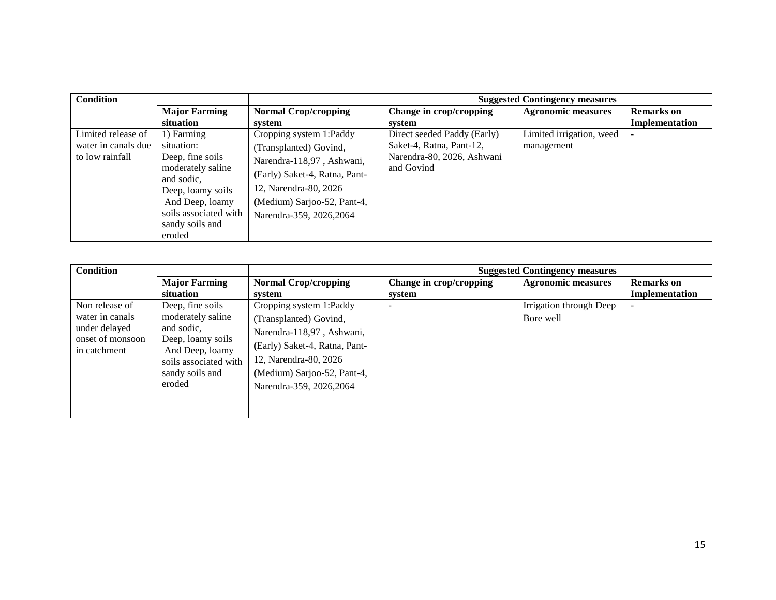| <b>Condition</b>    |                                 |                               |                             | <b>Suggested Contingency measures</b> |                   |
|---------------------|---------------------------------|-------------------------------|-----------------------------|---------------------------------------|-------------------|
|                     | <b>Major Farming</b>            | <b>Normal Crop/cropping</b>   | Change in crop/cropping     | <b>Agronomic measures</b>             | <b>Remarks</b> on |
|                     | situation                       | system                        | system                      |                                       | Implementation    |
| Limited release of  | 1) Farming                      | Cropping system 1:Paddy       | Direct seeded Paddy (Early) | Limited irrigation, weed              |                   |
| water in canals due | situation:                      | (Transplanted) Govind,        | Saket-4, Ratna, Pant-12,    | management                            |                   |
| to low rainfall     | Deep, fine soils                | Narendra-118,97, Ashwani,     | Narendra-80, 2026, Ashwani  |                                       |                   |
|                     | moderately saline<br>and sodic. | (Early) Saket-4, Ratna, Pant- | and Govind                  |                                       |                   |
|                     | Deep, loamy soils               | 12, Narendra-80, 2026         |                             |                                       |                   |
|                     | And Deep, loamy                 | (Medium) Sarjoo-52, Pant-4,   |                             |                                       |                   |
|                     | soils associated with           | Narendra-359, 2026, 2064      |                             |                                       |                   |
|                     | sandy soils and                 |                               |                             |                                       |                   |
|                     | eroded                          |                               |                             |                                       |                   |

| <b>Condition</b>                                                                       |                                                                                                                                                   |                                                                                                                                                                                                     |                                   | <b>Suggested Contingency measures</b> |                                     |
|----------------------------------------------------------------------------------------|---------------------------------------------------------------------------------------------------------------------------------------------------|-----------------------------------------------------------------------------------------------------------------------------------------------------------------------------------------------------|-----------------------------------|---------------------------------------|-------------------------------------|
|                                                                                        | <b>Major Farming</b><br>situation                                                                                                                 | <b>Normal Crop/cropping</b><br>system                                                                                                                                                               | Change in crop/cropping<br>system | <b>Agronomic measures</b>             | <b>Remarks</b> on<br>Implementation |
| Non release of<br>water in canals<br>under delayed<br>onset of monsoon<br>in catchment | Deep, fine soils<br>moderately saline<br>and sodic,<br>Deep, loamy soils<br>And Deep, loamy<br>soils associated with<br>sandy soils and<br>eroded | Cropping system 1:Paddy<br>(Transplanted) Govind,<br>Narendra-118,97, Ashwani,<br>(Early) Saket-4, Ratna, Pant-<br>12, Narendra-80, 2026<br>(Medium) Sarjoo-52, Pant-4,<br>Narendra-359, 2026, 2064 | $\overline{\phantom{0}}$          | Irrigation through Deep<br>Bore well  | $\overline{\phantom{a}}$            |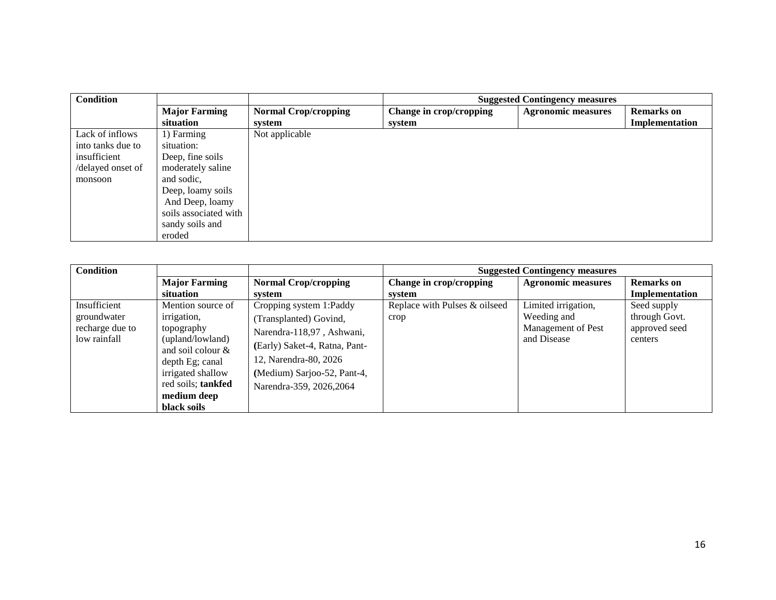| <b>Condition</b>  |                       | <b>Suggested Contingency measures</b> |                         |                           |                   |
|-------------------|-----------------------|---------------------------------------|-------------------------|---------------------------|-------------------|
|                   | <b>Major Farming</b>  | <b>Normal Crop/cropping</b>           | Change in crop/cropping | <b>Agronomic measures</b> | <b>Remarks</b> on |
|                   | situation             | system                                | system                  |                           | Implementation    |
| Lack of inflows   | 1) Farming            | Not applicable                        |                         |                           |                   |
| into tanks due to | situation:            |                                       |                         |                           |                   |
| insufficient      | Deep, fine soils      |                                       |                         |                           |                   |
| /delayed onset of | moderately saline     |                                       |                         |                           |                   |
| monsoon           | and sodic.            |                                       |                         |                           |                   |
|                   | Deep, loamy soils     |                                       |                         |                           |                   |
|                   | And Deep, loamy       |                                       |                         |                           |                   |
|                   | soils associated with |                                       |                         |                           |                   |
|                   | sandy soils and       |                                       |                         |                           |                   |
|                   | eroded                |                                       |                         |                           |                   |

| <b>Condition</b>                                               |                                                                                                               |                                                                                                                                          |                                       | <b>Suggested Contingency measures</b>                                   |                                                          |
|----------------------------------------------------------------|---------------------------------------------------------------------------------------------------------------|------------------------------------------------------------------------------------------------------------------------------------------|---------------------------------------|-------------------------------------------------------------------------|----------------------------------------------------------|
|                                                                | <b>Major Farming</b>                                                                                          | <b>Normal Crop/cropping</b>                                                                                                              | Change in crop/cropping               | <b>Agronomic measures</b>                                               | <b>Remarks</b> on                                        |
|                                                                | situation                                                                                                     | svstem                                                                                                                                   | system                                |                                                                         | Implementation                                           |
| Insufficient<br>groundwater<br>recharge due to<br>low rainfall | Mention source of<br>irrigation,<br>topography<br>(upland/lowland)<br>and soil colour $\&$<br>depth Eg; canal | Cropping system 1:Paddy<br>(Transplanted) Govind,<br>Narendra-118,97, Ashwani,<br>(Early) Saket-4, Ratna, Pant-<br>12, Narendra-80, 2026 | Replace with Pulses & oilseed<br>crop | Limited irrigation,<br>Weeding and<br>Management of Pest<br>and Disease | Seed supply<br>through Govt.<br>approved seed<br>centers |
|                                                                | irrigated shallow<br>red soils; tankfed<br>medium deep<br>black soils                                         | (Medium) Sarjoo-52, Pant-4,<br>Narendra-359, 2026, 2064                                                                                  |                                       |                                                                         |                                                          |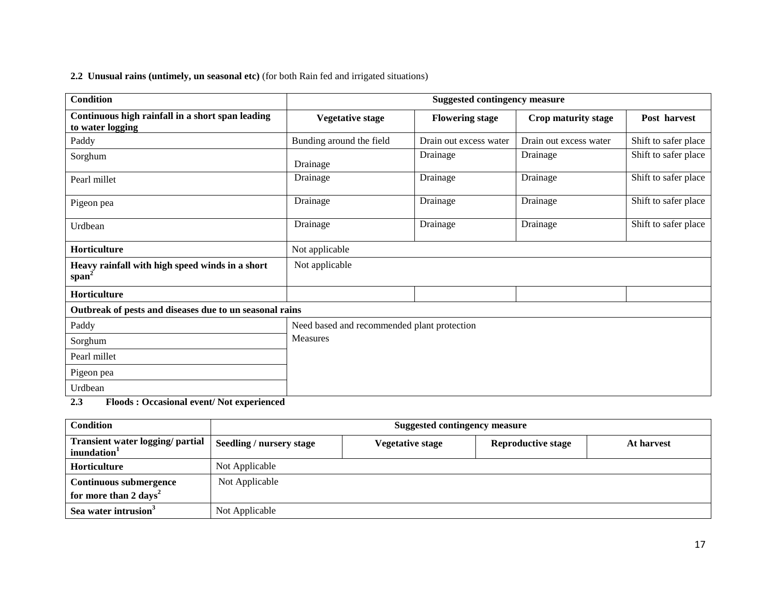## **2.2 Unusual rains (untimely, un seasonal etc)** (for both Rain fed and irrigated situations)

| <b>Condition</b>                                                     | <b>Suggested contingency measure</b>        |                        |                        |                      |
|----------------------------------------------------------------------|---------------------------------------------|------------------------|------------------------|----------------------|
| Continuous high rainfall in a short span leading<br>to water logging | <b>Vegetative stage</b>                     | <b>Flowering stage</b> | Crop maturity stage    | Post harvest         |
| Paddy                                                                | Bunding around the field                    | Drain out excess water | Drain out excess water | Shift to safer place |
| Sorghum                                                              | Drainage                                    | Drainage               | Drainage               | Shift to safer place |
| Pearl millet                                                         | Drainage                                    | Drainage               | Drainage               | Shift to safer place |
| Pigeon pea                                                           | Drainage                                    | Drainage               | Drainage               | Shift to safer place |
| Urdbean                                                              | Drainage                                    | Drainage               | Drainage               | Shift to safer place |
| Horticulture                                                         | Not applicable                              |                        |                        |                      |
| Heavy rainfall with high speed winds in a short<br>span <sup>-</sup> | Not applicable                              |                        |                        |                      |
| Horticulture                                                         |                                             |                        |                        |                      |
| Outbreak of pests and diseases due to un seasonal rains              |                                             |                        |                        |                      |
| Paddy                                                                | Need based and recommended plant protection |                        |                        |                      |
| Sorghum                                                              | <b>Measures</b>                             |                        |                        |                      |
| Pearl millet                                                         |                                             |                        |                        |                      |
| Pigeon pea                                                           |                                             |                        |                        |                      |
| Urdbean                                                              |                                             |                        |                        |                      |

**2.3 Floods : Occasional event/ Not experienced**

| <b>Condition</b>                                                   |                                 | <b>Suggested contingency measure</b> |                           |            |  |  |
|--------------------------------------------------------------------|---------------------------------|--------------------------------------|---------------------------|------------|--|--|
| <b>Transient water logging/ partial</b><br>inundation <sup>1</sup> | <b>Seedling / nursery stage</b> | Vegetative stage                     | <b>Reproductive stage</b> | At harvest |  |  |
| <b>Horticulture</b>                                                | Not Applicable                  |                                      |                           |            |  |  |
| <b>Continuous submergence</b><br>for more than 2 days <sup>2</sup> | Not Applicable                  |                                      |                           |            |  |  |
| Sea water intrusion <sup>3</sup>                                   | Not Applicable                  |                                      |                           |            |  |  |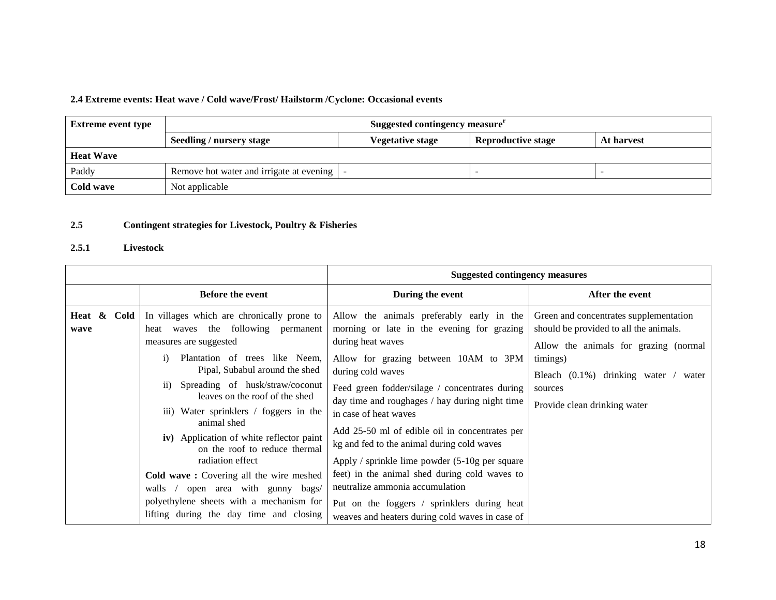#### **2.4 Extreme events: Heat wave / Cold wave/Frost/ Hailstorm /Cyclone: Occasional events**

| <b>Extreme event type</b> | Suggested contingency measure <sup>r</sup>   |                         |                           |            |
|---------------------------|----------------------------------------------|-------------------------|---------------------------|------------|
|                           | Seedling / nursery stage                     | <b>Vegetative stage</b> | <b>Reproductive stage</b> | At harvest |
| <b>Heat Wave</b>          |                                              |                         |                           |            |
| Paddy                     | Remove hot water and irrigate at evening   - |                         |                           |            |
| Cold wave                 | Not applicable                               |                         |                           |            |

#### **2.5 Contingent strategies for Livestock, Poultry & Fisheries**

#### **2.5.1 Livestock**

|                        |                                                                                                                                                                                                                                                                                                                                                                                                                                                      | <b>Suggested contingency measures</b>                                                                                                                                                                                                                                                                                                                                                                                                                                            |                                                                                                                           |
|------------------------|------------------------------------------------------------------------------------------------------------------------------------------------------------------------------------------------------------------------------------------------------------------------------------------------------------------------------------------------------------------------------------------------------------------------------------------------------|----------------------------------------------------------------------------------------------------------------------------------------------------------------------------------------------------------------------------------------------------------------------------------------------------------------------------------------------------------------------------------------------------------------------------------------------------------------------------------|---------------------------------------------------------------------------------------------------------------------------|
|                        | <b>Before the event</b>                                                                                                                                                                                                                                                                                                                                                                                                                              | During the event                                                                                                                                                                                                                                                                                                                                                                                                                                                                 | After the event                                                                                                           |
| Heat &<br>Cold<br>wave | In villages which are chronically prone to<br>heat waves the following permanent<br>measures are suggested                                                                                                                                                                                                                                                                                                                                           | Allow the animals preferably early in the<br>morning or late in the evening for grazing<br>during heat waves                                                                                                                                                                                                                                                                                                                                                                     | Green and concentrates supplementation<br>should be provided to all the animals.<br>Allow the animals for grazing (normal |
|                        | Plantation of trees like Neem,<br>$\mathbf{i}$<br>Pipal, Subabul around the shed<br>Spreading of husk/straw/coconut<br>11)<br>leaves on the roof of the shed<br>iii) Water sprinklers / foggers in the<br>animal shed<br>iv) Application of white reflector paint<br>on the roof to reduce thermal<br>radiation effect<br>Cold wave: Covering all the wire meshed<br>open area with gunny bags/<br>walls<br>polyethylene sheets with a mechanism for | Allow for grazing between 10AM to 3PM<br>during cold waves<br>Feed green fodder/silage / concentrates during<br>day time and roughages / hay during night time<br>in case of heat waves<br>Add 25-50 ml of edible oil in concentrates per<br>kg and fed to the animal during cold waves<br>Apply / sprinkle lime powder $(5-10)$ g per square<br>feet) in the animal shed during cold waves to<br>neutralize ammonia accumulation<br>Put on the foggers / sprinklers during heat | timings)<br>Bleach $(0.1\%)$ drinking water / water<br>sources<br>Provide clean drinking water                            |
|                        | lifting during the day time and closing                                                                                                                                                                                                                                                                                                                                                                                                              | weaves and heaters during cold waves in case of                                                                                                                                                                                                                                                                                                                                                                                                                                  |                                                                                                                           |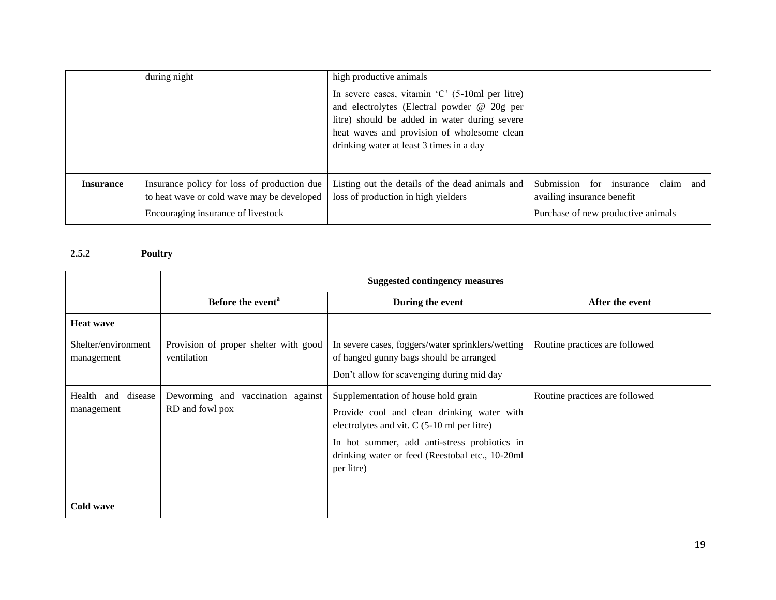|                  | during night                                                                                                                    | high productive animals                                                                                                                                                                                                                                        |                                                                                                              |
|------------------|---------------------------------------------------------------------------------------------------------------------------------|----------------------------------------------------------------------------------------------------------------------------------------------------------------------------------------------------------------------------------------------------------------|--------------------------------------------------------------------------------------------------------------|
|                  |                                                                                                                                 | In severe cases, vitamin $^{\circ}$ C $^{\circ}$ (5-10ml per litre)<br>and electrolytes (Electral powder @ 20g per<br>litre) should be added in water during severe<br>heat waves and provision of wholesome clean<br>drinking water at least 3 times in a day |                                                                                                              |
| <b>Insurance</b> | Insurance policy for loss of production due<br>to heat wave or cold wave may be developed<br>Encouraging insurance of livestock | Listing out the details of the dead animals and<br>loss of production in high yielders                                                                                                                                                                         | Submission<br>for insurance<br>claim and<br>availing insurance benefit<br>Purchase of new productive animals |

## **2.5.2 Poultry**

|                                     | <b>Suggested contingency measures</b>                   |                                                                                                                                                                                                                                                     |                                |  |  |
|-------------------------------------|---------------------------------------------------------|-----------------------------------------------------------------------------------------------------------------------------------------------------------------------------------------------------------------------------------------------------|--------------------------------|--|--|
|                                     | Before the event <sup>a</sup>                           | During the event                                                                                                                                                                                                                                    | After the event                |  |  |
| <b>Heat wave</b>                    |                                                         |                                                                                                                                                                                                                                                     |                                |  |  |
| Shelter/environment<br>management   | Provision of proper shelter with good<br>ventilation    | In severe cases, foggers/water sprinklers/wetting<br>of hanged gunny bags should be arranged<br>Don't allow for scavenging during mid day                                                                                                           | Routine practices are followed |  |  |
| Health<br>and disease<br>management | Deworming and<br>vaccination against<br>RD and fowl pox | Supplementation of house hold grain<br>Provide cool and clean drinking water with<br>electrolytes and vit. $C$ (5-10 ml per litre)<br>In hot summer, add anti-stress probiotics in<br>drinking water or feed (Reestobal etc., 10-20ml<br>per litre) | Routine practices are followed |  |  |
| Cold wave                           |                                                         |                                                                                                                                                                                                                                                     |                                |  |  |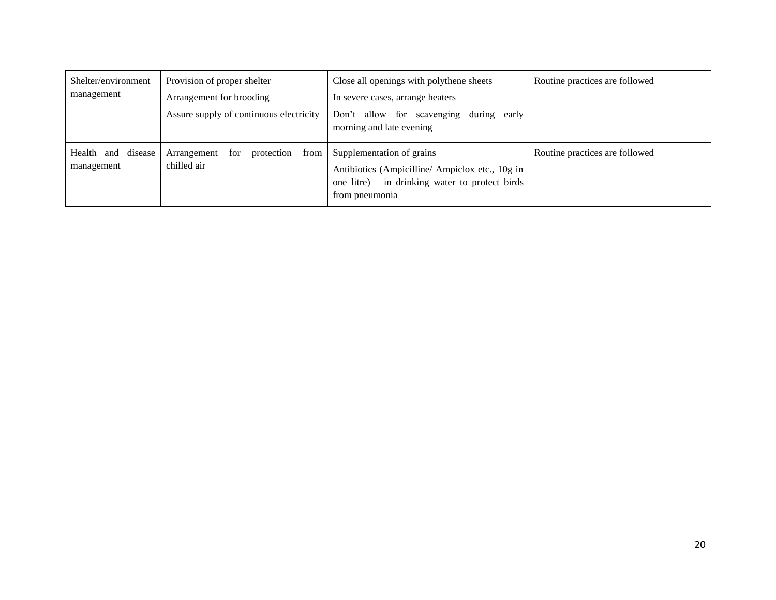| Shelter/environment                 | Provision of proper shelter                             | Close all openings with polythene sheets                                                                                                          | Routine practices are followed |
|-------------------------------------|---------------------------------------------------------|---------------------------------------------------------------------------------------------------------------------------------------------------|--------------------------------|
| management                          | Arrangement for brooding                                | In severe cases, arrange heaters                                                                                                                  |                                |
|                                     | Assure supply of continuous electricity                 | Don't allow for scavenging<br>during<br>early<br>morning and late evening                                                                         |                                |
| and disease<br>Health<br>management | for<br>protection<br>from<br>Arrangement<br>chilled air | Supplementation of grains<br>Antibiotics (Ampicilline/Ampiclox etc., 10g in<br>in drinking water to protect birds<br>one litre)<br>from pneumonia | Routine practices are followed |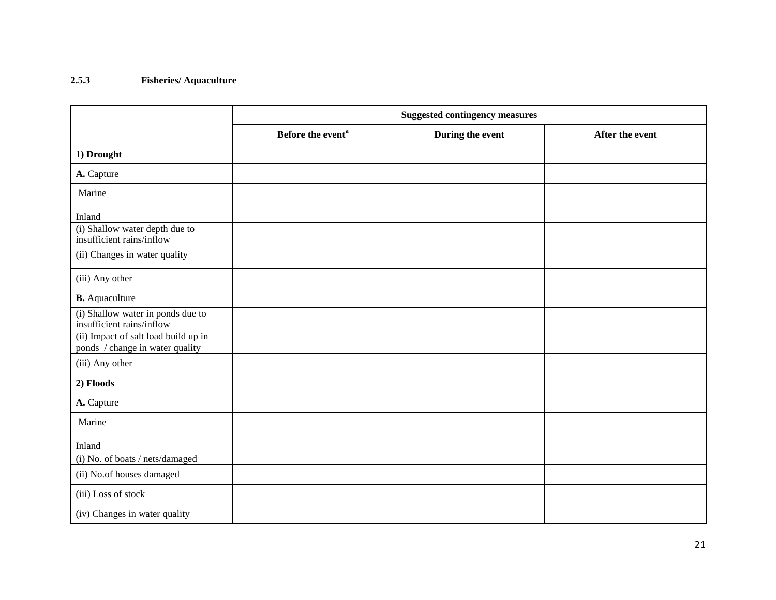#### **2.5.3 Fisheries/ Aquaculture**

|                                                                         | <b>Suggested contingency measures</b> |                  |                 |  |
|-------------------------------------------------------------------------|---------------------------------------|------------------|-----------------|--|
|                                                                         | Before the event <sup>a</sup>         | During the event | After the event |  |
| 1) Drought                                                              |                                       |                  |                 |  |
| A. Capture                                                              |                                       |                  |                 |  |
| Marine                                                                  |                                       |                  |                 |  |
| Inland                                                                  |                                       |                  |                 |  |
| (i) Shallow water depth due to<br>insufficient rains/inflow             |                                       |                  |                 |  |
| (ii) Changes in water quality                                           |                                       |                  |                 |  |
| (iii) Any other                                                         |                                       |                  |                 |  |
| <b>B.</b> Aquaculture                                                   |                                       |                  |                 |  |
| (i) Shallow water in ponds due to<br>insufficient rains/inflow          |                                       |                  |                 |  |
| (ii) Impact of salt load build up in<br>ponds / change in water quality |                                       |                  |                 |  |
| (iii) Any other                                                         |                                       |                  |                 |  |
| 2) Floods                                                               |                                       |                  |                 |  |
| A. Capture                                                              |                                       |                  |                 |  |
| Marine                                                                  |                                       |                  |                 |  |
| Inland                                                                  |                                       |                  |                 |  |
| (i) No. of boats / nets/damaged                                         |                                       |                  |                 |  |
| (ii) No.of houses damaged                                               |                                       |                  |                 |  |
| (iii) Loss of stock                                                     |                                       |                  |                 |  |
| (iv) Changes in water quality                                           |                                       |                  |                 |  |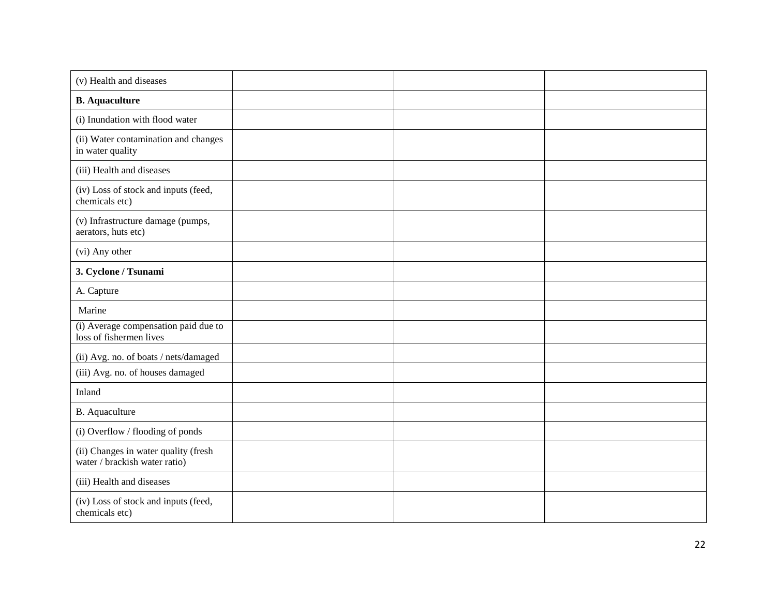| (v) Health and diseases                                               |  |  |
|-----------------------------------------------------------------------|--|--|
| <b>B.</b> Aquaculture                                                 |  |  |
| (i) Inundation with flood water                                       |  |  |
| (ii) Water contamination and changes<br>in water quality              |  |  |
| (iii) Health and diseases                                             |  |  |
| (iv) Loss of stock and inputs (feed,<br>chemicals etc)                |  |  |
| (v) Infrastructure damage (pumps,<br>aerators, huts etc)              |  |  |
| (vi) Any other                                                        |  |  |
| 3. Cyclone / Tsunami                                                  |  |  |
| A. Capture                                                            |  |  |
| Marine                                                                |  |  |
| (i) Average compensation paid due to<br>loss of fishermen lives       |  |  |
| (ii) Avg. no. of boats / nets/damaged                                 |  |  |
| (iii) Avg. no. of houses damaged                                      |  |  |
| Inland                                                                |  |  |
| B. Aquaculture                                                        |  |  |
| (i) Overflow / flooding of ponds                                      |  |  |
| (ii) Changes in water quality (fresh<br>water / brackish water ratio) |  |  |
| (iii) Health and diseases                                             |  |  |
| (iv) Loss of stock and inputs (feed,<br>chemicals etc)                |  |  |